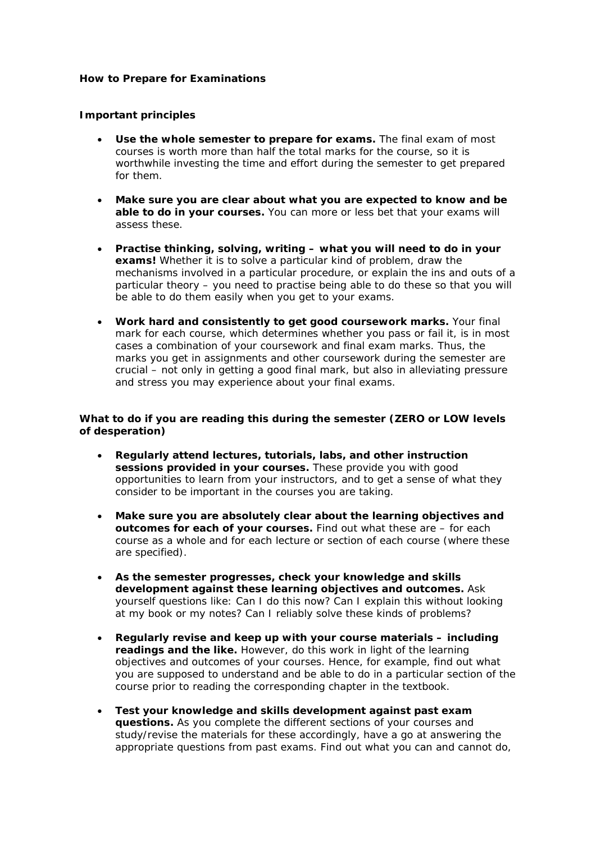## **How to Prepare for Examinations**

## *Important principles*

- **Use the whole semester to prepare for exams.** The final exam of most courses is worth more than half the total marks for the course, so it is worthwhile investing the time and effort during the semester to get prepared for them.
- **Make sure you are clear about what you are expected to know and be able to do in your courses.** You can more or less bet that your exams will assess these.
- **Practise thinking, solving, writing what you will need to do in your exams!** Whether it is to solve a particular kind of problem, draw the mechanisms involved in a particular procedure, or explain the ins and outs of a particular theory – you need to practise being able to do these so that you will be able to do them easily when you get to your exams.
- **Work hard and consistently to get good coursework marks.** Your final mark for each course, which determines whether you pass or fail it, is in most cases a combination of your coursework and final exam marks. Thus, the marks you get in assignments and other coursework during the semester are crucial – not only in getting a good final mark, but also in alleviating pressure and stress you may experience about your final exams.

## *What to do if you are reading this during the semester (ZERO or LOW levels of desperation)*

- **Regularly attend lectures, tutorials, labs, and other instruction sessions provided in your courses.** These provide you with good opportunities to learn from your instructors, and to get a sense of what they consider to be important in the courses you are taking.
- **Make sure you are absolutely clear about the learning objectives and outcomes for each of your courses.** Find out what these are – for each course as a whole and for each lecture or section of each course (where these are specified).
- **As the semester progresses, check your knowledge and skills development against these learning objectives and outcomes.** Ask yourself questions like: Can I do this now? Can I explain this without looking at my book or my notes? Can I reliably solve these kinds of problems?
- **Regularly revise and keep up with your course materials including readings and the like.** However, do this work in light of the learning objectives and outcomes of your courses. Hence, for example, find out what you are supposed to understand and be able to do in a particular section of the course prior to reading the corresponding chapter in the textbook.
- **Test your knowledge and skills development against past exam questions.** As you complete the different sections of your courses and study/revise the materials for these accordingly, have a go at answering the appropriate questions from past exams. Find out what you can and cannot do,